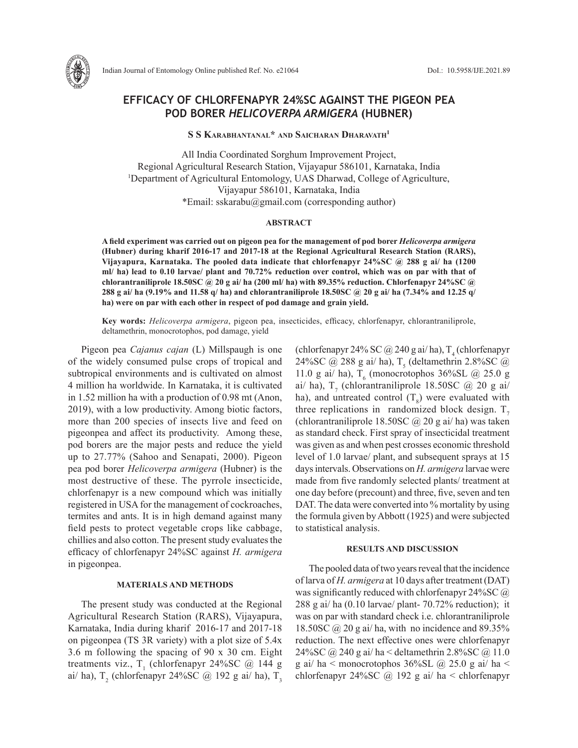

Indian Journal of Entomology Online published Ref. No. e21064 DoI.: 10.5958/IJE.2021.89

# **EFFICACY OF CHLORFENAPYR 24%SC AGAINST THE PIGEON PEA POD BORER** *HELICOVERPA ARMIGERA* **(HUBNER)**

**S S Karabhantanal\* and Saicharan Dharavath1**

All India Coordinated Sorghum Improvement Project, Regional Agricultural Research Station, Vijayapur 586101, Karnataka, India 1 Department of Agricultural Entomology, UAS Dharwad, College of Agriculture, Vijayapur 586101, Karnataka, India \*Email: sskarabu@gmail.com (corresponding author)

## **ABSTRACT**

**A field experiment was carried out on pigeon pea for the management of pod borer** *Helicoverpa armigera* **(Hubner) during kharif 2016-17 and 2017-18 at the Regional Agricultural Research Station (RARS), Vijayapura, Karnataka. The pooled data indicate that chlorfenapyr 24%SC @ 288 g ai/ ha (1200 ml/ ha) lead to 0.10 larvae/ plant and 70.72% reduction over control, which was on par with that of chlorantraniliprole 18.50SC @ 20 g ai/ ha (200 ml/ ha) with 89.35% reduction. Chlorfenapyr 24%SC @ 288 g ai/ ha (9.19% and 11.58 q/ ha) and chlorantraniliprole 18.50SC @ 20 g ai/ ha (7.34% and 12.25 q/ ha) were on par with each other in respect of pod damage and grain yield.** 

**Key words:** *Helicoverpa armigera*, pigeon pea, insecticides, efficacy, chlorfenapyr, chlorantraniliprole, deltamethrin, monocrotophos, pod damage, yield

Pigeon pea *Cajanus cajan* (L) Millspaugh is one of the widely consumed pulse crops of tropical and subtropical environments and is cultivated on almost 4 million ha worldwide. In Karnataka, it is cultivated in 1.52 million ha with a production of 0.98 mt (Anon, 2019), with a low productivity. Among biotic factors, more than 200 species of insects live and feed on pigeonpea and affect its productivity. Among these, pod borers are the major pests and reduce the yield up to 27.77% (Sahoo and Senapati, 2000). Pigeon pea pod borer *Helicoverpa armigera* (Hubner) is the most destructive of these. The pyrrole insecticide, chlorfenapyr is a new compound which was initially registered in USA for the management of cockroaches, termites and ants. It is in high demand against many field pests to protect vegetable crops like cabbage, chillies and also cotton. The present study evaluates the efficacy of chlorfenapyr 24%SC against *H. armigera*  in pigeonpea.

### **MATERIALS AND METHODS**

The present study was conducted at the Regional Agricultural Research Station (RARS), Vijayapura, Karnataka, India during kharif 2016-17 and 2017-18 on pigeonpea (TS 3R variety) with a plot size of 5.4x 3.6 m following the spacing of 90 x 30 cm. Eight treatments viz.,  $T_1$  (chlorfenapyr 24%SC @ 144 g ai/ ha), T<sub>2</sub> (chlorfenapyr 24%SC @ 192 g ai/ ha), T<sub>3</sub>

(chlorfenapyr 24% SC  $@$  240 g ai/ha), T<sub>4</sub> (chlorfenapyr 24%SC @ 288 g ai/ ha),  $T_s$  (deltamethrin 2.8%SC @ 11.0 g ai/ ha),  $T_6$  (monocrotophos 36%SL @ 25.0 g ai/ ha),  $T_7$  (chlorantraniliprole 18.50SC @ 20 g ai/ ha), and untreated control  $(T<sub>8</sub>)$  were evaluated with three replications in randomized block design.  $T_7$ (chlorantraniliprole 18.50SC  $\omega$  20 g ai/ ha) was taken as standard check. First spray of insecticidal treatment was given as and when pest crosses economic threshold level of 1.0 larvae/ plant, and subsequent sprays at 15 days intervals. Observations on *H. armigera* larvae were made from five randomly selected plants/ treatment at one day before (precount) and three, five, seven and ten DAT. The data were converted into % mortality by using the formula given by Abbott (1925) and were subjected to statistical analysis.

## **RESULTS AND DISCUSSION**

The pooled data of two years reveal that the incidence of larva of *H. armigera* at 10 days after treatment (DAT) was significantly reduced with chlorfenapyr 24%SC @ 288 g ai/ ha  $(0.10 \text{ larvae/ plant} - 70.72\% \text{ reduction})$ ; it was on par with standard check i.e. chlorantraniliprole 18.50SC  $\omega$  20 g ai/ ha, with no incidence and 89.35% reduction. The next effective ones were chlorfenapyr 24%SC @ 240 g ai/ ha < deltamethrin 2.8%SC @ 11.0 g ai/ ha < monocrotophos 36%SL @ 25.0 g ai/ ha < chlorfenapyr 24%SC @ 192 g ai/ ha < chlorfenapyr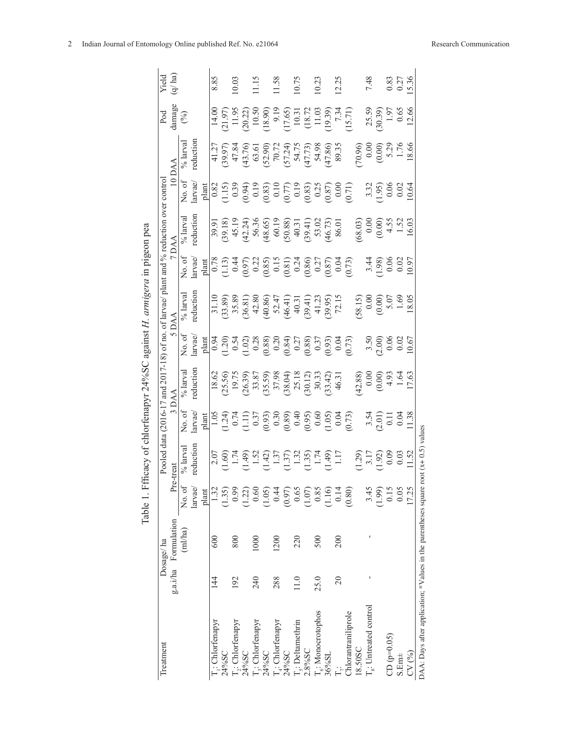|                                                                |         |                      | Table 1.1 | cacy of                                                                                                                                                                                                                                                                                                       |                                                                                                                                                                                                                                                                                                                                                    |                                                                                                                                                                                |                                                                                                                                                                                                                                                                                                                       | chlorfenapyr 24%SC against H. armigera in pigeon pea                                                                                                             |                                                                     |                                                                                                                                |                                                                                                                                                                                                                                                                                                                             |                                                                                                                                                            |                                                                                                                                                                                                                                                                                                     |                            |
|----------------------------------------------------------------|---------|----------------------|-----------|---------------------------------------------------------------------------------------------------------------------------------------------------------------------------------------------------------------------------------------------------------------------------------------------------------------|----------------------------------------------------------------------------------------------------------------------------------------------------------------------------------------------------------------------------------------------------------------------------------------------------------------------------------------------------|--------------------------------------------------------------------------------------------------------------------------------------------------------------------------------|-----------------------------------------------------------------------------------------------------------------------------------------------------------------------------------------------------------------------------------------------------------------------------------------------------------------------|------------------------------------------------------------------------------------------------------------------------------------------------------------------|---------------------------------------------------------------------|--------------------------------------------------------------------------------------------------------------------------------|-----------------------------------------------------------------------------------------------------------------------------------------------------------------------------------------------------------------------------------------------------------------------------------------------------------------------------|------------------------------------------------------------------------------------------------------------------------------------------------------------|-----------------------------------------------------------------------------------------------------------------------------------------------------------------------------------------------------------------------------------------------------------------------------------------------------|----------------------------|
| Treatment                                                      |         | Dosage/ha            |           |                                                                                                                                                                                                                                                                                                               |                                                                                                                                                                                                                                                                                                                                                    |                                                                                                                                                                                |                                                                                                                                                                                                                                                                                                                       | Pooled data (2016-17 and 2017-18) of no. of larvae/ plant and % reduction over contro                                                                            |                                                                     |                                                                                                                                |                                                                                                                                                                                                                                                                                                                             |                                                                                                                                                            |                                                                                                                                                                                                                                                                                                     | Yield                      |
|                                                                |         | g.a.i/ha Formulation | <b>p</b>  | re-treat                                                                                                                                                                                                                                                                                                      |                                                                                                                                                                                                                                                                                                                                                    | 3 DAA                                                                                                                                                                          |                                                                                                                                                                                                                                                                                                                       | <b>AAQ</b>                                                                                                                                                       |                                                                     | 7 DAA                                                                                                                          |                                                                                                                                                                                                                                                                                                                             | <b>LAD</b>                                                                                                                                                 |                                                                                                                                                                                                                                                                                                     | (q/ha)                     |
|                                                                |         | (ml/ha)              | No. of    | $\%$ larval                                                                                                                                                                                                                                                                                                   | No.of                                                                                                                                                                                                                                                                                                                                              | $%$ larva                                                                                                                                                                      |                                                                                                                                                                                                                                                                                                                       | $%$ larval                                                                                                                                                       | No.of                                                               | $%$ larva                                                                                                                      | No. of                                                                                                                                                                                                                                                                                                                      | $%$ larva                                                                                                                                                  | Pod<br>damage<br>(%)                                                                                                                                                                                                                                                                                |                            |
|                                                                |         |                      | larvae    | reduction                                                                                                                                                                                                                                                                                                     | larvae/                                                                                                                                                                                                                                                                                                                                            | eduction                                                                                                                                                                       | larvae                                                                                                                                                                                                                                                                                                                | reductior                                                                                                                                                        | larvae/                                                             | eduction                                                                                                                       | larvae/                                                                                                                                                                                                                                                                                                                     | eduction                                                                                                                                                   |                                                                                                                                                                                                                                                                                                     |                            |
|                                                                |         |                      | plant     |                                                                                                                                                                                                                                                                                                               |                                                                                                                                                                                                                                                                                                                                                    |                                                                                                                                                                                |                                                                                                                                                                                                                                                                                                                       |                                                                                                                                                                  | plant                                                               |                                                                                                                                | plant                                                                                                                                                                                                                                                                                                                       |                                                                                                                                                            |                                                                                                                                                                                                                                                                                                     |                            |
| : Chlorfenapyr                                                 | 14<br>4 | 600                  | 1.32      |                                                                                                                                                                                                                                                                                                               |                                                                                                                                                                                                                                                                                                                                                    |                                                                                                                                                                                |                                                                                                                                                                                                                                                                                                                       |                                                                                                                                                                  |                                                                     |                                                                                                                                |                                                                                                                                                                                                                                                                                                                             |                                                                                                                                                            |                                                                                                                                                                                                                                                                                                     | 8.85                       |
| 24%SC                                                          |         |                      | (1.35)    |                                                                                                                                                                                                                                                                                                               |                                                                                                                                                                                                                                                                                                                                                    |                                                                                                                                                                                |                                                                                                                                                                                                                                                                                                                       |                                                                                                                                                                  |                                                                     |                                                                                                                                |                                                                                                                                                                                                                                                                                                                             |                                                                                                                                                            |                                                                                                                                                                                                                                                                                                     |                            |
| $\mathbf{I}_2$ : Chlorfenapyr                                  | 192     | 800                  | 0.99      |                                                                                                                                                                                                                                                                                                               |                                                                                                                                                                                                                                                                                                                                                    |                                                                                                                                                                                |                                                                                                                                                                                                                                                                                                                       |                                                                                                                                                                  |                                                                     |                                                                                                                                |                                                                                                                                                                                                                                                                                                                             |                                                                                                                                                            |                                                                                                                                                                                                                                                                                                     | 0.03                       |
| 24%SC                                                          |         |                      | (1.22)    |                                                                                                                                                                                                                                                                                                               |                                                                                                                                                                                                                                                                                                                                                    |                                                                                                                                                                                |                                                                                                                                                                                                                                                                                                                       |                                                                                                                                                                  |                                                                     |                                                                                                                                |                                                                                                                                                                                                                                                                                                                             |                                                                                                                                                            |                                                                                                                                                                                                                                                                                                     |                            |
| T <sub>i</sub> : Chlorfenapyr                                  | 240     | 1000                 | 0.60      |                                                                                                                                                                                                                                                                                                               |                                                                                                                                                                                                                                                                                                                                                    |                                                                                                                                                                                |                                                                                                                                                                                                                                                                                                                       |                                                                                                                                                                  |                                                                     |                                                                                                                                |                                                                                                                                                                                                                                                                                                                             |                                                                                                                                                            |                                                                                                                                                                                                                                                                                                     | 1.15                       |
| 24%SC                                                          |         |                      | (1.05)    |                                                                                                                                                                                                                                                                                                               |                                                                                                                                                                                                                                                                                                                                                    |                                                                                                                                                                                |                                                                                                                                                                                                                                                                                                                       |                                                                                                                                                                  |                                                                     |                                                                                                                                |                                                                                                                                                                                                                                                                                                                             |                                                                                                                                                            |                                                                                                                                                                                                                                                                                                     |                            |
| $T_4$ : Chlorfenapyr                                           | 288     | 1200                 | 0.44      |                                                                                                                                                                                                                                                                                                               |                                                                                                                                                                                                                                                                                                                                                    |                                                                                                                                                                                |                                                                                                                                                                                                                                                                                                                       |                                                                                                                                                                  |                                                                     |                                                                                                                                |                                                                                                                                                                                                                                                                                                                             |                                                                                                                                                            |                                                                                                                                                                                                                                                                                                     | 11.58                      |
| 24%SC                                                          |         |                      | (0.97)    |                                                                                                                                                                                                                                                                                                               |                                                                                                                                                                                                                                                                                                                                                    |                                                                                                                                                                                |                                                                                                                                                                                                                                                                                                                       |                                                                                                                                                                  |                                                                     |                                                                                                                                |                                                                                                                                                                                                                                                                                                                             |                                                                                                                                                            |                                                                                                                                                                                                                                                                                                     |                            |
| T <sub>5</sub> : Deltamethrin                                  | 11.0    | 220                  | 0.65      |                                                                                                                                                                                                                                                                                                               |                                                                                                                                                                                                                                                                                                                                                    |                                                                                                                                                                                |                                                                                                                                                                                                                                                                                                                       |                                                                                                                                                                  |                                                                     |                                                                                                                                |                                                                                                                                                                                                                                                                                                                             |                                                                                                                                                            |                                                                                                                                                                                                                                                                                                     | 10.75                      |
| 2.8%SC                                                         |         |                      | (1.07)    | $\begin{array}{l} 2.07 \\ 2.60 \\ 1.49 \\ 1.49 \\ 1.41 \\ 1.51 \\ 1.51 \\ 1.51 \\ 1.52 \\ 1.53 \\ 1.54 \\ 1.54 \\ 1.55 \\ 1.57 \\ 1.57 \\ 1.59 \\ 1.54 \\ 1.54 \\ 1.54 \\ 1.54 \\ 1.54 \\ 1.55 \\ 1.57 \\ 1.57 \\ 1.58 \\ 1.59 \\ 1.54 \\ 1.57 \\ 1.57 \\ 1.58 \\ 1.59 \\ 1.59 \\ 1.59 \\ 1.59 \\ 1.59 \\ 1.$ | $\begin{array}{l} \underline{\text{plan}} \\[-1.24] \\[-1.24] \\[-1.24] \\[-1.24] \\[-1.24] \\[-1.24] \\[-1.24] \\[-1.24] \\[-1.24] \\[-1.24] \\[-1.24] \\[-1.24] \\[-1.24] \\[-1.24] \\[-1.24] \\[-1.24] \\[-1.24] \\[-1.24] \\[-1.24] \\[-1.24] \\[-1.24] \\[-1.24] \\[-1.24] \\[-1.24] \\[-1.24] \\[-1.24] \\[-1.24] \\[-1.24] \\[-1.24] \\[-1$ | $\begin{array}{l} 18.62 \\ 19.75 \\ 19.75 \\ 20.39 \\ 33.87 \\ 37.98 \\ 37.99 \\ 37.98 \\ 37.99 \\ 37.99 \\ 37.99 \\ 37.91 \\ 30.33 \\ 30.42 \\ 30.43 \\ 46.31 \\ \end{array}$ | $\begin{array}{l} \underline{\text{H}} \\[-1.20pt] 0.94 \\[-1.20pt] 0.54 \\[-1.20pt] 0.28 \\[-1.20pt] 0.88 \\[-1.20pt] 0.28 \\[-1.20pt] 0.20 \\[-1.20pt] 0.20 \\[-1.20pt] 0.20 \\[-1.20pt] 0.20 \\[-1.20pt] 0.20 \\[-1.20pt] 0.20 \\[-1.20pt] 0.20 \\[-1.20pt] 0.20 \\[-1.20pt] 0.20 \\[-1.20pt] 0.20 \\[-1.20pt] 0.$ | $\begin{array}{l} 31.10\\ 31.89\\ 35.89\\ 36.81\\ 37.80\\ 38.9\\ 36.81\\ 37.41\\ 38.9\\ 39.9\\ 42.80\\ 46.41\\ 31.1\\ 34.23\\ 41.23\\ 59.95\\ 72.15 \end{array}$ |                                                                     | 39.91<br>30.18 130.19<br>45.19 56.36 50.29<br>46.24 56.36 50.38 50.21<br>46.73 50.30<br>46.73 60.11<br>50.20<br>50.01<br>86.01 | $\begin{array}{ l} 0.82 \\[-4pt] 0.39 \\[-4pt] 0.39 \\[-4pt] 0.39 \\[-4pt] 0.30 \\[-4pt] 0.30 \\[-4pt] 0.30 \\[-4pt] 0.30 \\[-4pt] 0.30 \\[-4pt] 0.30 \\[-4pt] 0.30 \\[-4pt] 0.30 \\[-4pt] 0.30 \\[-4pt] 0.30 \\[-4pt] 0.30 \\[-4pt] 0.30 \\[-4pt] 0.30 \\[-4pt] 0.30 \\[-4pt] 0.30 \\[-4pt] 0.30 \\[-4pt] 0.30 \\[-4pt] 0$ | 41.27<br>39.97 17.84<br>47.84 16.00 17.24<br>47.86 17.73 17.73 17.86 17.73 17.86 17.86 17.86 17.86 17.86 17.86 17.86 17.86 17.14 17.86 17.86 17.14 17.15 1 | $\begin{array}{l} 14.00 \\ 14.01 \\ 14.02 \\ 15.03 \\ 15.04 \\ 15.05 \\ 16.06 \\ 17.07 \\ 18.09 \\ 19.01 \\ 19.03 \\ 19.04 \\ 19.03 \\ 19.04 \\ 19.03 \\ 19.03 \\ 19.04 \\ 19.03 \\ 19.04 \\ 19.03 \\ 19.03 \\ 19.04 \\ 19.03 \\ 19.04 \\ 19.03 \\ 19.04 \\ 19.03 \\ 19.04 \\ 19.04 \\ 19.05 \\ 19$ |                            |
| T <sub>6</sub> : Monocrotophos                                 | 25.0    | 500                  | 0.85      |                                                                                                                                                                                                                                                                                                               |                                                                                                                                                                                                                                                                                                                                                    |                                                                                                                                                                                |                                                                                                                                                                                                                                                                                                                       |                                                                                                                                                                  |                                                                     |                                                                                                                                |                                                                                                                                                                                                                                                                                                                             |                                                                                                                                                            |                                                                                                                                                                                                                                                                                                     | 10.23                      |
| 36%SL                                                          |         |                      | (1.16)    |                                                                                                                                                                                                                                                                                                               |                                                                                                                                                                                                                                                                                                                                                    |                                                                                                                                                                                |                                                                                                                                                                                                                                                                                                                       |                                                                                                                                                                  |                                                                     |                                                                                                                                |                                                                                                                                                                                                                                                                                                                             |                                                                                                                                                            |                                                                                                                                                                                                                                                                                                     |                            |
|                                                                | 20      | 200                  | 0.14      |                                                                                                                                                                                                                                                                                                               |                                                                                                                                                                                                                                                                                                                                                    |                                                                                                                                                                                |                                                                                                                                                                                                                                                                                                                       |                                                                                                                                                                  |                                                                     |                                                                                                                                |                                                                                                                                                                                                                                                                                                                             |                                                                                                                                                            |                                                                                                                                                                                                                                                                                                     | 12.25                      |
| Chlorantraniliprole                                            |         |                      | (0.80)    |                                                                                                                                                                                                                                                                                                               |                                                                                                                                                                                                                                                                                                                                                    |                                                                                                                                                                                |                                                                                                                                                                                                                                                                                                                       |                                                                                                                                                                  |                                                                     |                                                                                                                                |                                                                                                                                                                                                                                                                                                                             |                                                                                                                                                            |                                                                                                                                                                                                                                                                                                     |                            |
| 18.50SC                                                        |         |                      |           |                                                                                                                                                                                                                                                                                                               |                                                                                                                                                                                                                                                                                                                                                    |                                                                                                                                                                                |                                                                                                                                                                                                                                                                                                                       |                                                                                                                                                                  |                                                                     |                                                                                                                                |                                                                                                                                                                                                                                                                                                                             |                                                                                                                                                            |                                                                                                                                                                                                                                                                                                     |                            |
| $\Gamma_{\rm s}$ : Untreated control                           |         |                      | 3.45      | $\begin{array}{c} 1.29 \\ 3.17 \\ 1.92) \\ 0.03 \\ 1.52 \\ 1.17 \\ 0.03 \\ 11.52 \\ 11.52 \\ 11.52 \\ 11.52 \\ 11.52 \\ 11.53 \\ 11.53 \\ 11.54 \\ 11.54 \\ 11.55 \\ 11.55 \\ 11.57 \\ 11.58 \\ 11.58 \\ 11.59 \\ 11.59 \\ 11.59 \\ 12.59 \\ 12.59 \\ 12.59 \\ 12.59 \\ 12.59 \\ 12.59 \\ 12.59 \\ 1$         | $\begin{array}{c} 3.54 \\ 2.01 \\ 0.11 \\ 0.04 \\ 11.38 \end{array}$                                                                                                                                                                                                                                                                               | $(42.88)$<br>0.00<br>0.00<br>0.00<br>4.93<br>17.63<br>17.63                                                                                                                    |                                                                                                                                                                                                                                                                                                                       | $\begin{array}{c} (58.15) \\ 0.00 \\ (0.00) \\ 5.07 \\ 1.69 \\ 1.805 \end{array}$                                                                                | $\begin{array}{c} 3.44 \\ 1.98 \\ 0.06 \\ 0.02 \\ 1.98 \end{array}$ | $(68.03)$<br>0.00<br>0.00<br>0.00<br>4.55<br>1.52<br>16.03                                                                     |                                                                                                                                                                                                                                                                                                                             | $70.96$<br>0.00<br>0.00<br>0.00<br>5.29<br>1.76<br>18.66                                                                                                   | 25.59<br>30.39)<br>1.97<br>12.66<br>12.66                                                                                                                                                                                                                                                           | 7.48                       |
|                                                                |         |                      | (1.99)    |                                                                                                                                                                                                                                                                                                               |                                                                                                                                                                                                                                                                                                                                                    |                                                                                                                                                                                | $3.50$<br>$(2.00)$<br>$0.06$<br>$0.02$                                                                                                                                                                                                                                                                                |                                                                                                                                                                  |                                                                     |                                                                                                                                | $3.32$<br>$1.95$ )<br>$0.06$<br>$0.02$                                                                                                                                                                                                                                                                                      |                                                                                                                                                            |                                                                                                                                                                                                                                                                                                     |                            |
| $CD (p=0.05)$                                                  |         |                      | 0.15      |                                                                                                                                                                                                                                                                                                               |                                                                                                                                                                                                                                                                                                                                                    |                                                                                                                                                                                |                                                                                                                                                                                                                                                                                                                       |                                                                                                                                                                  |                                                                     |                                                                                                                                |                                                                                                                                                                                                                                                                                                                             |                                                                                                                                                            |                                                                                                                                                                                                                                                                                                     |                            |
| S.Enn±                                                         |         |                      | 0.05      |                                                                                                                                                                                                                                                                                                               |                                                                                                                                                                                                                                                                                                                                                    |                                                                                                                                                                                |                                                                                                                                                                                                                                                                                                                       |                                                                                                                                                                  |                                                                     |                                                                                                                                |                                                                                                                                                                                                                                                                                                                             |                                                                                                                                                            |                                                                                                                                                                                                                                                                                                     | $0.83$<br>$0.27$<br>$5.36$ |
| CV(%)                                                          |         |                      | 17.25     |                                                                                                                                                                                                                                                                                                               |                                                                                                                                                                                                                                                                                                                                                    |                                                                                                                                                                                | 0.67                                                                                                                                                                                                                                                                                                                  |                                                                                                                                                                  |                                                                     |                                                                                                                                | 0.64                                                                                                                                                                                                                                                                                                                        |                                                                                                                                                            |                                                                                                                                                                                                                                                                                                     |                            |
| DAA: Days after application; *Values in the parentheses square |         |                      |           | root $(x+0.5)$ values                                                                                                                                                                                                                                                                                         |                                                                                                                                                                                                                                                                                                                                                    |                                                                                                                                                                                |                                                                                                                                                                                                                                                                                                                       |                                                                                                                                                                  |                                                                     |                                                                                                                                |                                                                                                                                                                                                                                                                                                                             |                                                                                                                                                            |                                                                                                                                                                                                                                                                                                     |                            |

Table 1. Ffficacy of chlorfenapyr 24%SC against H. armigera in pigeon pea